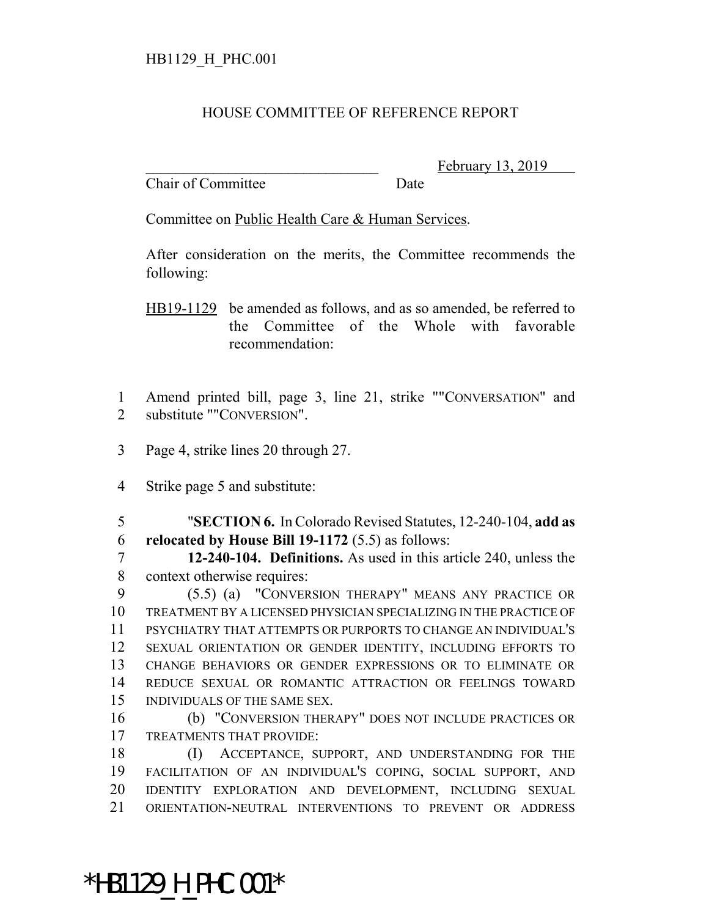## HOUSE COMMITTEE OF REFERENCE REPORT

Chair of Committee Date

February 13, 2019

Committee on Public Health Care & Human Services.

After consideration on the merits, the Committee recommends the following:

HB19-1129 be amended as follows, and as so amended, be referred to the Committee of the Whole with favorable recommendation:

 Amend printed bill, page 3, line 21, strike ""CONVERSATION" and substitute ""CONVERSION".

- Page 4, strike lines 20 through 27.
- Strike page 5 and substitute:

 "**SECTION 6.** In Colorado Revised Statutes, 12-240-104, **add as relocated by House Bill 19-1172** (5.5) as follows:

 **12-240-104. Definitions.** As used in this article 240, unless the context otherwise requires:

 (5.5) (a) "CONVERSION THERAPY" MEANS ANY PRACTICE OR TREATMENT BY A LICENSED PHYSICIAN SPECIALIZING IN THE PRACTICE OF PSYCHIATRY THAT ATTEMPTS OR PURPORTS TO CHANGE AN INDIVIDUAL'S SEXUAL ORIENTATION OR GENDER IDENTITY, INCLUDING EFFORTS TO CHANGE BEHAVIORS OR GENDER EXPRESSIONS OR TO ELIMINATE OR REDUCE SEXUAL OR ROMANTIC ATTRACTION OR FEELINGS TOWARD INDIVIDUALS OF THE SAME SEX.

 (b) "CONVERSION THERAPY" DOES NOT INCLUDE PRACTICES OR TREATMENTS THAT PROVIDE:

 (I) ACCEPTANCE, SUPPORT, AND UNDERSTANDING FOR THE FACILITATION OF AN INDIVIDUAL'S COPING, SOCIAL SUPPORT, AND IDENTITY EXPLORATION AND DEVELOPMENT, INCLUDING SEXUAL ORIENTATION-NEUTRAL INTERVENTIONS TO PREVENT OR ADDRESS

\*HB1129\_H\_PHC.001\*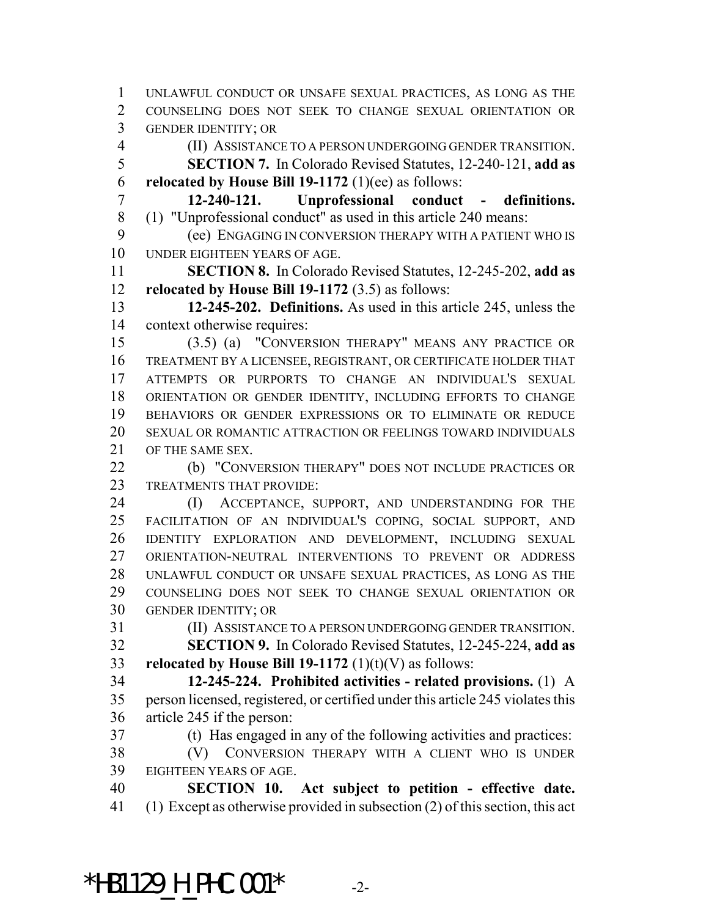UNLAWFUL CONDUCT OR UNSAFE SEXUAL PRACTICES, AS LONG AS THE COUNSELING DOES NOT SEEK TO CHANGE SEXUAL ORIENTATION OR GENDER IDENTITY; OR

- (II) ASSISTANCE TO A PERSON UNDERGOING GENDER TRANSITION.
- **SECTION 7.** In Colorado Revised Statutes, 12-240-121, **add as relocated by House Bill 19-1172** (1)(ee) as follows:

 **12-240-121. Unprofessional conduct - definitions.** (1) "Unprofessional conduct" as used in this article 240 means:

 (ee) ENGAGING IN CONVERSION THERAPY WITH A PATIENT WHO IS UNDER EIGHTEEN YEARS OF AGE.

 **SECTION 8.** In Colorado Revised Statutes, 12-245-202, **add as relocated by House Bill 19-1172** (3.5) as follows:

 **12-245-202. Definitions.** As used in this article 245, unless the context otherwise requires:

 (3.5) (a) "CONVERSION THERAPY" MEANS ANY PRACTICE OR TREATMENT BY A LICENSEE, REGISTRANT, OR CERTIFICATE HOLDER THAT ATTEMPTS OR PURPORTS TO CHANGE AN INDIVIDUAL'S SEXUAL ORIENTATION OR GENDER IDENTITY, INCLUDING EFFORTS TO CHANGE BEHAVIORS OR GENDER EXPRESSIONS OR TO ELIMINATE OR REDUCE SEXUAL OR ROMANTIC ATTRACTION OR FEELINGS TOWARD INDIVIDUALS 21 OF THE SAME SEX.

22 (b) "CONVERSION THERAPY" DOES NOT INCLUDE PRACTICES OR TREATMENTS THAT PROVIDE:

24 (I) ACCEPTANCE, SUPPORT, AND UNDERSTANDING FOR THE FACILITATION OF AN INDIVIDUAL'S COPING, SOCIAL SUPPORT, AND IDENTITY EXPLORATION AND DEVELOPMENT, INCLUDING SEXUAL ORIENTATION-NEUTRAL INTERVENTIONS TO PREVENT OR ADDRESS UNLAWFUL CONDUCT OR UNSAFE SEXUAL PRACTICES, AS LONG AS THE COUNSELING DOES NOT SEEK TO CHANGE SEXUAL ORIENTATION OR GENDER IDENTITY; OR

(II) ASSISTANCE TO A PERSON UNDERGOING GENDER TRANSITION.

 **SECTION 9.** In Colorado Revised Statutes, 12-245-224, **add as relocated by House Bill 19-1172** (1)(t)(V) as follows:

 **12-245-224. Prohibited activities - related provisions.** (1) A person licensed, registered, or certified under this article 245 violates this article 245 if the person:

(t) Has engaged in any of the following activities and practices:

 (V) CONVERSION THERAPY WITH A CLIENT WHO IS UNDER EIGHTEEN YEARS OF AGE.

 **SECTION 10. Act subject to petition - effective date.** (1) Except as otherwise provided in subsection (2) of this section, this act

\*HB1129 H PHC.001\*  $-2$ -